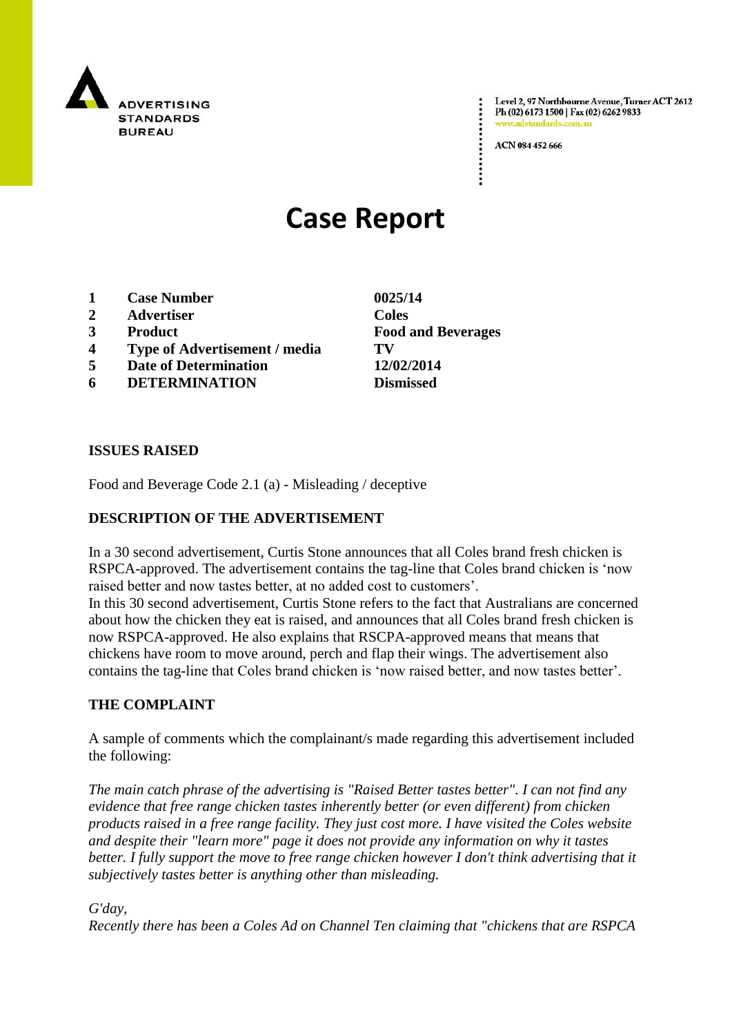

Level 2, 97 Northbourne Avenue, Turner ACT 2612 Ph (02) 6173 1500 | Fax (02) 6262 9833 adstandards.com.a

ACN 084 452 666

# **Case Report**

- **1 Case Number 0025/14**
- **2 Advertiser Coles**
- 
- **4 Type of Advertisement / media TV**
- **5 Date of Determination 12/02/2014**
- **6 DETERMINATION Dismissed**

#### **ISSUES RAISED**

Food and Beverage Code 2.1 (a) - Misleading / deceptive

## **DESCRIPTION OF THE ADVERTISEMENT**

In a 30 second advertisement, Curtis Stone announces that all Coles brand fresh chicken is RSPCA-approved. The advertisement contains the tag-line that Coles brand chicken is "now raised better and now tastes better, at no added cost to customers'.

In this 30 second advertisement, Curtis Stone refers to the fact that Australians are concerned about how the chicken they eat is raised, and announces that all Coles brand fresh chicken is now RSPCA-approved. He also explains that RSCPA-approved means that means that chickens have room to move around, perch and flap their wings. The advertisement also contains the tag-line that Coles brand chicken is "now raised better, and now tastes better".

### **THE COMPLAINT**

A sample of comments which the complainant/s made regarding this advertisement included the following:

*The main catch phrase of the advertising is "Raised Better tastes better". I can not find any evidence that free range chicken tastes inherently better (or even different) from chicken products raised in a free range facility. They just cost more. I have visited the Coles website and despite their "learn more" page it does not provide any information on why it tastes better. I fully support the move to free range chicken however I don't think advertising that it subjectively tastes better is anything other than misleading.*

#### *G'day,*

*Recently there has been a Coles Ad on Channel Ten claiming that "chickens that are RSPCA* 

**3 Product Food and Beverages**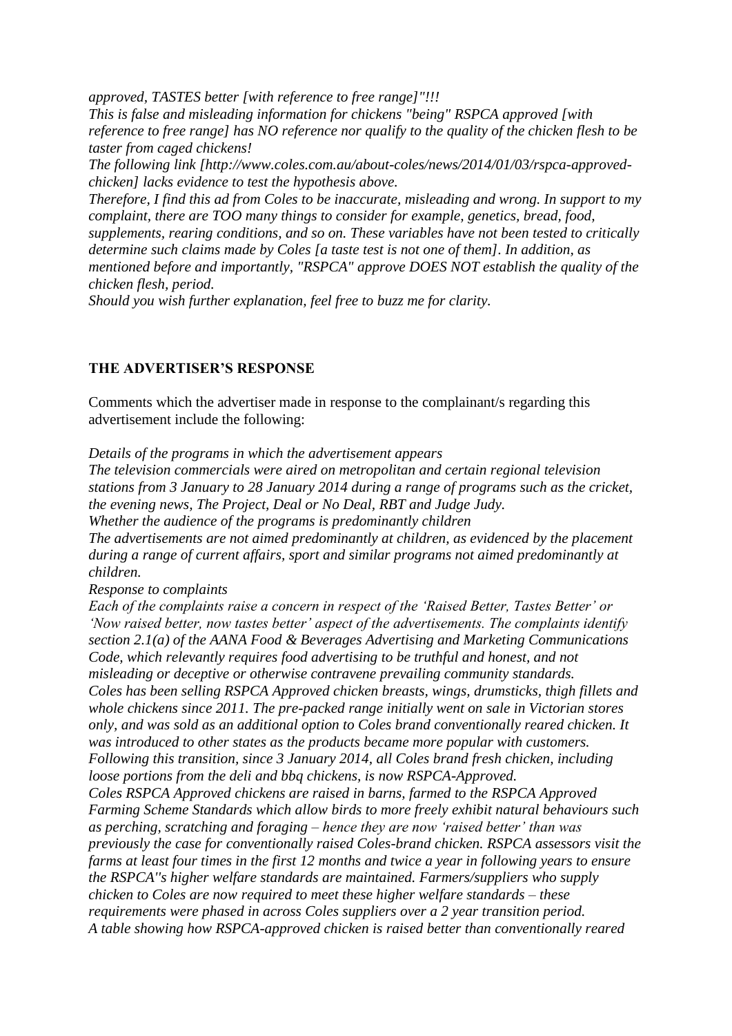*approved, TASTES better [with reference to free range]"!!!*

*This is false and misleading information for chickens "being" RSPCA approved [with reference to free range] has NO reference nor qualify to the quality of the chicken flesh to be taster from caged chickens!*

*The following link [http://www.coles.com.au/about-coles/news/2014/01/03/rspca-approvedchicken] lacks evidence to test the hypothesis above.*

*Therefore, I find this ad from Coles to be inaccurate, misleading and wrong. In support to my complaint, there are TOO many things to consider for example, genetics, bread, food, supplements, rearing conditions, and so on. These variables have not been tested to critically determine such claims made by Coles [a taste test is not one of them]. In addition, as mentioned before and importantly, "RSPCA" approve DOES NOT establish the quality of the chicken flesh, period.*

*Should you wish further explanation, feel free to buzz me for clarity.*

### **THE ADVERTISER'S RESPONSE**

Comments which the advertiser made in response to the complainant/s regarding this advertisement include the following:

*Details of the programs in which the advertisement appears The television commercials were aired on metropolitan and certain regional television stations from 3 January to 28 January 2014 during a range of programs such as the cricket, the evening news, The Project, Deal or No Deal, RBT and Judge Judy. Whether the audience of the programs is predominantly children The advertisements are not aimed predominantly at children, as evidenced by the placement during a range of current affairs, sport and similar programs not aimed predominantly at children.*

*Response to complaints*

*Each of the complaints raise a concern in respect of the 'Raised Better, Tastes Better' or 'Now raised better, now tastes better' aspect of the advertisements. The complaints identify section 2.1(a) of the AANA Food & Beverages Advertising and Marketing Communications Code, which relevantly requires food advertising to be truthful and honest, and not misleading or deceptive or otherwise contravene prevailing community standards. Coles has been selling RSPCA Approved chicken breasts, wings, drumsticks, thigh fillets and whole chickens since 2011. The pre-packed range initially went on sale in Victorian stores only, and was sold as an additional option to Coles brand conventionally reared chicken. It was introduced to other states as the products became more popular with customers. Following this transition, since 3 January 2014, all Coles brand fresh chicken, including loose portions from the deli and bbq chickens, is now RSPCA-Approved. Coles RSPCA Approved chickens are raised in barns, farmed to the RSPCA Approved Farming Scheme Standards which allow birds to more freely exhibit natural behaviours such as perching, scratching and foraging – hence they are now 'raised better' than was previously the case for conventionally raised Coles-brand chicken. RSPCA assessors visit the farms at least four times in the first 12 months and twice a year in following years to ensure the RSPCA''s higher welfare standards are maintained. Farmers/suppliers who supply chicken to Coles are now required to meet these higher welfare standards – these requirements were phased in across Coles suppliers over a 2 year transition period. A table showing how RSPCA-approved chicken is raised better than conventionally reared*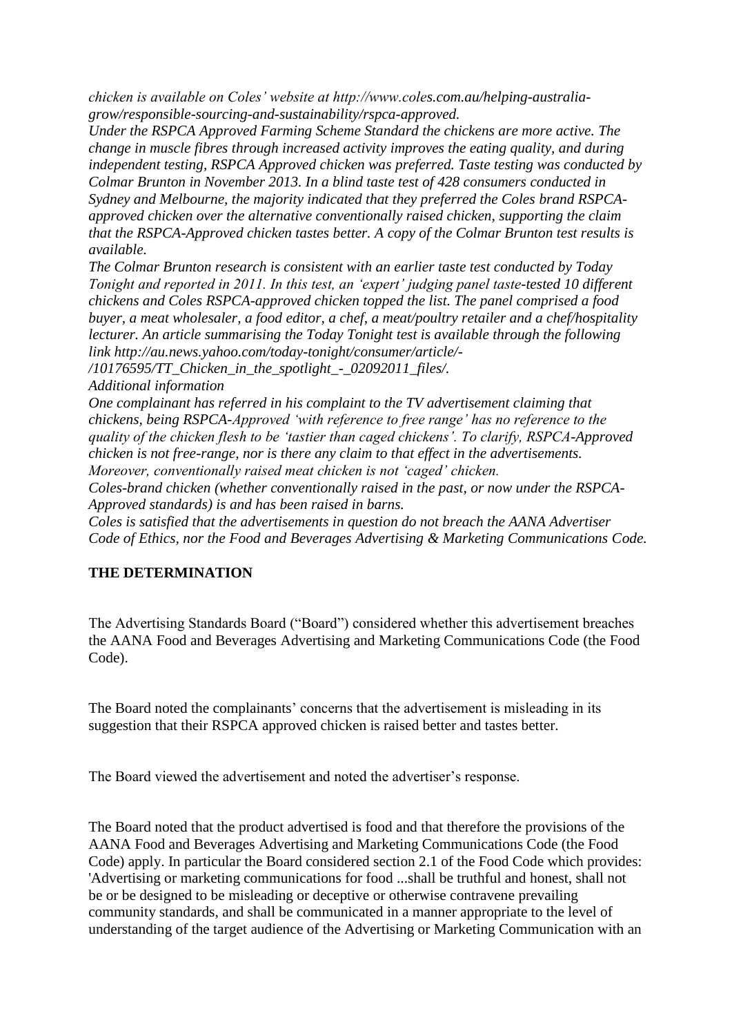*chicken is available on Coles' website at http://www.coles.com.au/helping-australiagrow/responsible-sourcing-and-sustainability/rspca-approved.*

*Under the RSPCA Approved Farming Scheme Standard the chickens are more active. The change in muscle fibres through increased activity improves the eating quality, and during independent testing, RSPCA Approved chicken was preferred. Taste testing was conducted by Colmar Brunton in November 2013. In a blind taste test of 428 consumers conducted in Sydney and Melbourne, the majority indicated that they preferred the Coles brand RSPCAapproved chicken over the alternative conventionally raised chicken, supporting the claim that the RSPCA-Approved chicken tastes better. A copy of the Colmar Brunton test results is available.*

*The Colmar Brunton research is consistent with an earlier taste test conducted by Today Tonight and reported in 2011. In this test, an 'expert' judging panel taste-tested 10 different chickens and Coles RSPCA-approved chicken topped the list. The panel comprised a food buyer, a meat wholesaler, a food editor, a chef, a meat/poultry retailer and a chef/hospitality lecturer. An article summarising the Today Tonight test is available through the following link http://au.news.yahoo.com/today-tonight/consumer/article/-*

*/10176595/TT\_Chicken\_in\_the\_spotlight\_-\_02092011\_files/.*

*Additional information*

*One complainant has referred in his complaint to the TV advertisement claiming that chickens, being RSPCA-Approved 'with reference to free range' has no reference to the quality of the chicken flesh to be 'tastier than caged chickens'. To clarify, RSPCA-Approved chicken is not free-range, nor is there any claim to that effect in the advertisements. Moreover, conventionally raised meat chicken is not 'caged' chicken.*

*Coles-brand chicken (whether conventionally raised in the past, or now under the RSPCA-Approved standards) is and has been raised in barns.*

*Coles is satisfied that the advertisements in question do not breach the AANA Advertiser Code of Ethics, nor the Food and Beverages Advertising & Marketing Communications Code.*

### **THE DETERMINATION**

The Advertising Standards Board ("Board") considered whether this advertisement breaches the AANA Food and Beverages Advertising and Marketing Communications Code (the Food Code).

The Board noted the complainants" concerns that the advertisement is misleading in its suggestion that their RSPCA approved chicken is raised better and tastes better.

The Board viewed the advertisement and noted the advertiser"s response.

The Board noted that the product advertised is food and that therefore the provisions of the AANA Food and Beverages Advertising and Marketing Communications Code (the Food Code) apply. In particular the Board considered section 2.1 of the Food Code which provides: 'Advertising or marketing communications for food ...shall be truthful and honest, shall not be or be designed to be misleading or deceptive or otherwise contravene prevailing community standards, and shall be communicated in a manner appropriate to the level of understanding of the target audience of the Advertising or Marketing Communication with an